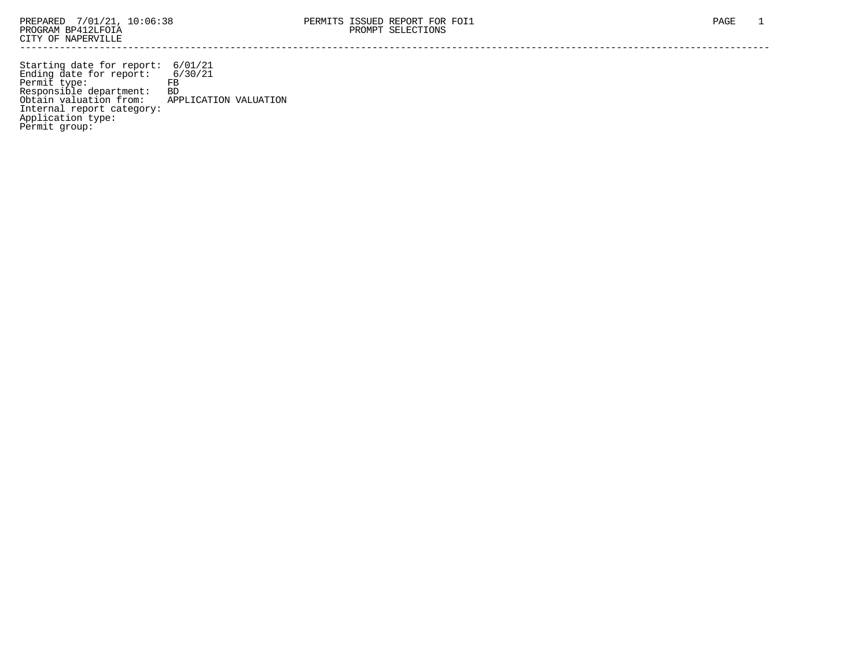Starting date for report: 6/01/21 Ending date for report: 6/30/21 Permit type: FB Responsible department: BD Obtain valuation from: APPLICATION VALUATION Internal report category: Application type: Permit group: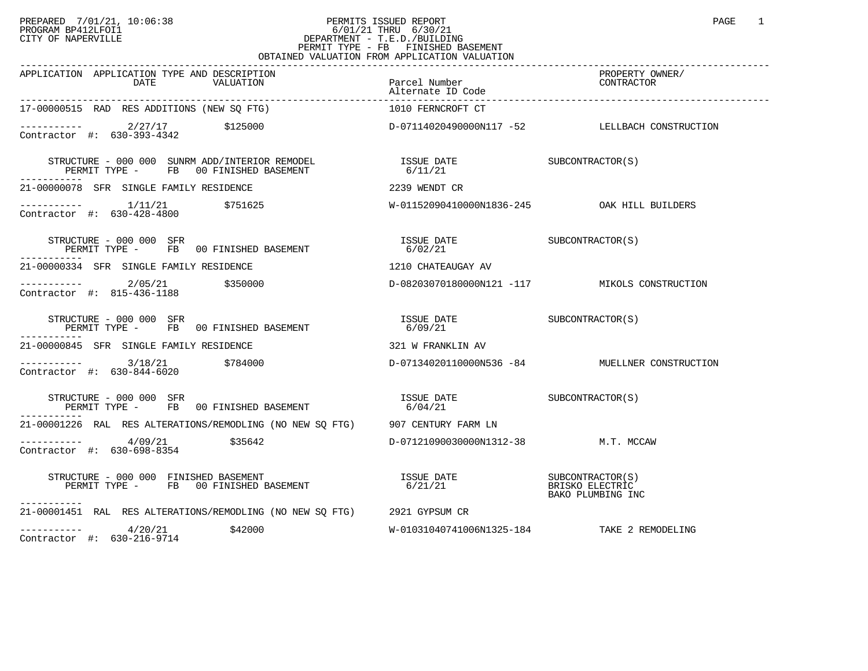## PREPARED 7/01/21, 10:06:38 PERMITS ISSUED REPORT PAGE 1<br>PROGRAM BP412LFOI1 PROGRAM PROGRAM BP412LFOI1 PROGRAM BP412LFOI1 6/01/21 THRU 6/30/21 CITY OF NAPERVILLE **Example 20** CITY OF NAPERVILLE PERMIT TYPE - FB FINISHED BASEMENT OBTAINED VALUATION FROM APPLICATION VALUATION

| APPLICATION APPLICATION TYPE AND DESCRIPTION<br>DATE<br>VALUATION                                                                                                                                                                                                                                                                                                                                                                                                                   | Parcel Number                               | PROPERTY OWNER/<br>CONTRACTOR                  |
|-------------------------------------------------------------------------------------------------------------------------------------------------------------------------------------------------------------------------------------------------------------------------------------------------------------------------------------------------------------------------------------------------------------------------------------------------------------------------------------|---------------------------------------------|------------------------------------------------|
| 17-00000515 RAD RES ADDITIONS (NEW SQ FTG)                                                                                                                                                                                                                                                                                                                                                                                                                                          | 1010 FERNCROFT CT                           |                                                |
| Contractor #: 630-393-4342                                                                                                                                                                                                                                                                                                                                                                                                                                                          |                                             |                                                |
| -----------                                                                                                                                                                                                                                                                                                                                                                                                                                                                         |                                             |                                                |
| 21-00000078 SFR SINGLE FAMILY RESIDENCE                                                                                                                                                                                                                                                                                                                                                                                                                                             | 2239 WENDT CR                               |                                                |
| $\begin{array}{cccc}\n-2 & -2 & -2 & -2 \\ \text{Contractor} & +2 & 630 - 428 - 4800 & & \end{array}$ \$751625                                                                                                                                                                                                                                                                                                                                                                      |                                             |                                                |
| STRUCTURE - 000 000 SFR<br>RUCTURE - UUU UUU SFR<br>PERMIT TYPE -     FB   00 FINISHED BASEMENT                                                                                                                                                                                                                                                                                                                                                                                     |                                             |                                                |
| . <u>.</u><br>21-00000334 SFR SINGLE FAMILY RESIDENCE                                                                                                                                                                                                                                                                                                                                                                                                                               | 1210 CHATEAUGAY AV                          |                                                |
| $---------2/05/21$ \$350000<br>Contractor #: 815-436-1188                                                                                                                                                                                                                                                                                                                                                                                                                           |                                             | D-08203070180000N121 -117 MIKOLS CONSTRUCTION  |
| $\begin{array}{cccc} \texttt{STRUCTURE} & - & 000 & 000 & \texttt{SFR} \\ \texttt{PERMIT} & \texttt{TPE} & - & \texttt{FB} & 00 & \texttt{FINISHED BASEMENT} \end{array} \qquad \begin{array}{cccc} \texttt{ISSUE} & \texttt{DATE} \\ \texttt{6/09/21} \end{array} \qquad \begin{array}{cccc} \texttt{ISSUE} & \texttt{DATE} \\ \texttt{6/09/21} \end{array} \qquad \begin{array}{cccc} \texttt{SUBCONTRACTOR(S)} & \texttt{SUBCONTRACTOR(S)} \\ \texttt{SUBCONTRACTOR(S)} & \text$ |                                             |                                                |
| 21-00000845 SFR SINGLE FAMILY RESIDENCE                                                                                                                                                                                                                                                                                                                                                                                                                                             | 321 W FRANKLIN AV                           |                                                |
| $\frac{3}{18/21}$ $\frac{5784000}{100}$<br>Contractor #: 630-844-6020                                                                                                                                                                                                                                                                                                                                                                                                               |                                             | D-07134020110000N536 -84 MUELLNER CONSTRUCTION |
| STRUCTURE - 000 000 SFR<br>PERMIT TYPE - FB 00 FINISHED BASEMENT                                                                                                                                                                                                                                                                                                                                                                                                                    | ISSUE DATE SUBCONTRACTOR(S)<br>6/04/21      |                                                |
| 21-00001226 RAL RES ALTERATIONS/REMODLING (NO NEW SO FTG) 907 CENTURY FARM LN                                                                                                                                                                                                                                                                                                                                                                                                       |                                             |                                                |
| $\frac{4}{9/21}$ \$35642<br>Contractor #: 630-698-8354                                                                                                                                                                                                                                                                                                                                                                                                                              | D-07121090030000N1312-38 M.T. MCCAW         |                                                |
| STRUCTURE - 000 000 FINISHED BASEMENT<br>PERMIT TYPE - FB 00 FINISHED BASEMENT<br>-----------                                                                                                                                                                                                                                                                                                                                                                                       | ISSUE DATE SUBCONTRACTOR(S)<br>6/21/21      | BRISKO ELECTRIC<br>BAKO PLUMBING INC           |
| 21-00001451 RAL RES ALTERATIONS/REMODLING (NO NEW SQ FTG) 2921 GYPSUM CR                                                                                                                                                                                                                                                                                                                                                                                                            |                                             |                                                |
| $--------- 4/20/21$<br>\$42000<br>Contractor #: 630-216-9714                                                                                                                                                                                                                                                                                                                                                                                                                        | W-01031040741006N1325-184 TAKE 2 REMODELING |                                                |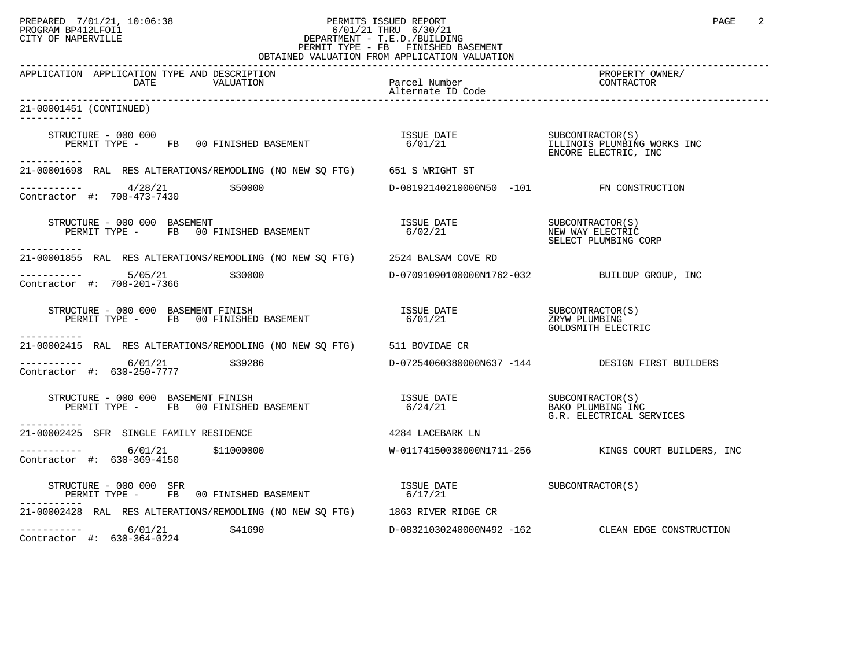## PREPARED 7/01/21, 10:06:38 PERMITS ISSUED REPORT PAGE 2<br>PROGRAM BP412LFOI1 PAGE 2 PROGRAM BP412LFOI1 6/01/21 THRU 6/30/21 CITY OF NAPERVILLE **Example 20** CITY OF NAPERVILLE PERMIT TYPE - FB FINISHED BASEMENT OBTAINED VALUATION FROM APPLICATION VALUATION

| APPLICATION APPLICATION TYPE AND DESCRIPTION<br>DATE<br>VALUATION                                                 | Parcel Number<br>Alternate ID Code           | PROPERTY OWNER/<br>CONTRACTOR                                |
|-------------------------------------------------------------------------------------------------------------------|----------------------------------------------|--------------------------------------------------------------|
| 21-00001451 (CONTINUED)                                                                                           |                                              |                                                              |
| STRUCTURE - 000 000<br>PERMIT TYPE - FB 00 FINISHED BASEMENT<br>-----------                                       |                                              | ENCORE ELECTRIC, INC                                         |
| 21-00001698 RAL RES ALTERATIONS/REMODLING (NO NEW SQ FTG) 651 S WRIGHT ST                                         |                                              |                                                              |
| $------- 4/28/21$ \$50000<br>Contractor #: 708-473-7430                                                           | D-08192140210000N50 -101 FN CONSTRUCTION     |                                                              |
| STRUCTURE - 000 000 BASEMENT<br>UCIONE - 000 000 BASEMENT<br>PERMIT TYPE - FB 00 FINISHED BASEMENT<br>----------- | ISSUE DATE<br>6/02/21                        | SUBCONTRACTOR(S)<br>NEW WAY ELECTRIC<br>SELECT PLUMBING CORP |
| 21-00001855 RAL RES ALTERATIONS/REMODLING (NO NEW SQ FTG) 2524 BALSAM COVE RD                                     |                                              |                                                              |
| $\frac{5}{105}$ \$30000<br>Contractor #: 708-201-7366                                                             | D-07091090100000N1762-032 BUILDUP GROUP, INC |                                                              |
| STRUCTURE - 000 000 BASEMENT FINISH<br>PERMIT TYPE - FB 00 FINISHED BASEMENT                                      |                                              | GOLDSMITH ELECTRIC                                           |
| 21-00002415 RAL RES ALTERATIONS/REMODLING (NO NEW SO FTG) 511 BOVIDAE CR                                          |                                              |                                                              |
| $\frac{6}{01/21}$ \$39286<br>Contractor #: 630-250-7777                                                           |                                              | D-07254060380000N637 -144 DESIGN FIRST BUILDERS              |
| STRUCTURE - 000 000 BASEMENT FINISH<br>PERMIT TYPE - FB 00 FINISHED BASEMENT<br>-----------                       | ISSUE DATE SUBCONTRACTOR(S)<br>6/24/21       | BAKO PLUMBING INC<br>G.R. ELECTRICAL SERVICES                |
| 21-00002425 SFR SINGLE FAMILY RESIDENCE                                                                           | 4284 LACEBARK LN                             |                                                              |
| $---------$ 6/01/21 \$11000000<br>Contractor #: 630-369-4150                                                      |                                              | W-01174150030000N1711-256 KINGS COURT BUILDERS, INC          |
| STRUCTURE - 000 000 SFR<br>PERMIT TYPE - FB 00 FINISHED BASEMENT                                                  | ISSUE DATE<br>6/17/21                        | SUBCONTRACTOR(S)                                             |
| 21-00002428 RAL RES ALTERATIONS/REMODLING (NO NEW SQ FTG) 1863 RIVER RIDGE CR                                     |                                              |                                                              |
| $--------- 6/01/21$ \$41690<br>Contractor #: 630-364-0224                                                         |                                              | D-08321030240000N492 -162 CLEAN EDGE CONSTRUCTION            |